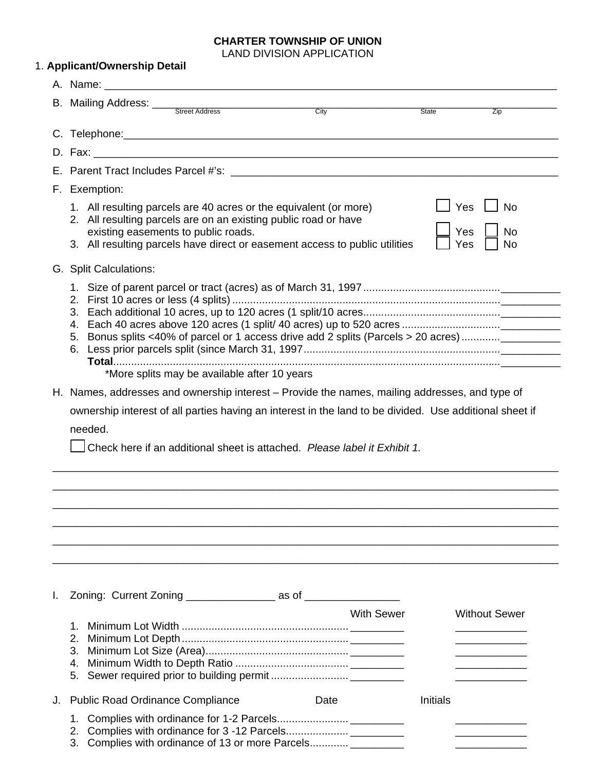#### **CHARTER TOWNSHIP OF UNION**  LAND DIVISION APPLICATION

|    | 1. Applicant/Ownership Detail                                                                                                                                                                                                                              |                   |              |                                            |  |  |
|----|------------------------------------------------------------------------------------------------------------------------------------------------------------------------------------------------------------------------------------------------------------|-------------------|--------------|--------------------------------------------|--|--|
|    |                                                                                                                                                                                                                                                            |                   |              |                                            |  |  |
|    |                                                                                                                                                                                                                                                            | City              | <b>State</b> | $\overline{Zip}$                           |  |  |
|    |                                                                                                                                                                                                                                                            |                   |              |                                            |  |  |
|    |                                                                                                                                                                                                                                                            |                   |              |                                            |  |  |
|    |                                                                                                                                                                                                                                                            |                   |              |                                            |  |  |
|    | F. Exemption:                                                                                                                                                                                                                                              |                   |              |                                            |  |  |
|    | 1. All resulting parcels are 40 acres or the equivalent (or more)<br>2. All resulting parcels are on an existing public road or have<br>existing easements to public roads.<br>3. All resulting parcels have direct or easement access to public utilities |                   |              | 」Yes 凵 No<br>Yes<br><b>No</b><br>Yes<br>No |  |  |
|    | G. Split Calculations:                                                                                                                                                                                                                                     |                   |              |                                            |  |  |
|    | 5. Bonus splits <40% of parcel or 1 access drive add 2 splits (Parcels > 20 acres) _________<br>*More splits may be available after 10 years                                                                                                               |                   |              |                                            |  |  |
|    | H. Names, addresses and ownership interest – Provide the names, mailing addresses, and type of                                                                                                                                                             |                   |              |                                            |  |  |
|    | Check here if an additional sheet is attached. Please label it Exhibit 1.                                                                                                                                                                                  |                   |              |                                            |  |  |
|    |                                                                                                                                                                                                                                                            |                   |              |                                            |  |  |
| I. | Zoning: Current Zoning ______________________ as of ____________________________                                                                                                                                                                           |                   |              |                                            |  |  |
|    | 2.                                                                                                                                                                                                                                                         | <b>With Sewer</b> |              |                                            |  |  |
| J. | <b>Public Road Ordinance Compliance</b>                                                                                                                                                                                                                    | Date              | Initials     | <b>Without Sewer</b>                       |  |  |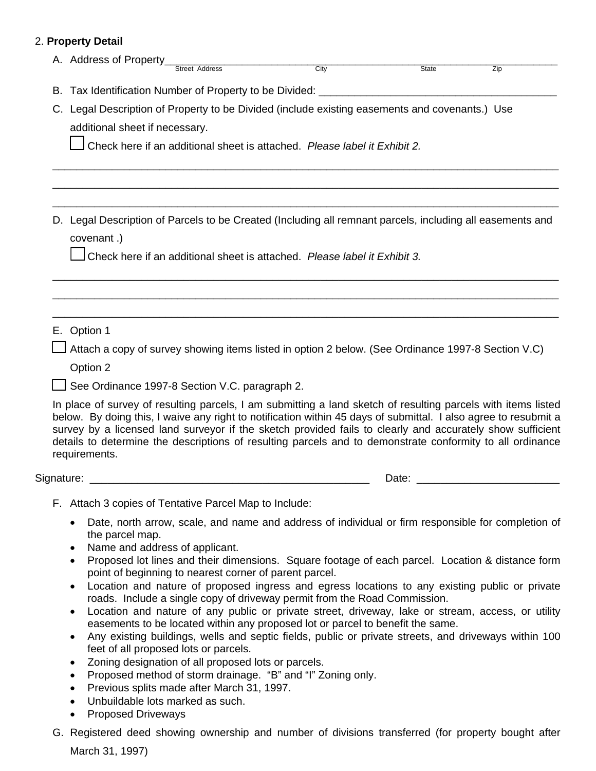## 2. **Property Detail**

| A. Address of Property_                                                                        |                                                        | City                                                                                                                                                                                                                                                                                                                                                                                                                                                       |       |     |  |  |  |
|------------------------------------------------------------------------------------------------|--------------------------------------------------------|------------------------------------------------------------------------------------------------------------------------------------------------------------------------------------------------------------------------------------------------------------------------------------------------------------------------------------------------------------------------------------------------------------------------------------------------------------|-------|-----|--|--|--|
|                                                                                                |                                                        |                                                                                                                                                                                                                                                                                                                                                                                                                                                            | State | Zip |  |  |  |
|                                                                                                |                                                        |                                                                                                                                                                                                                                                                                                                                                                                                                                                            |       |     |  |  |  |
| C. Legal Description of Property to be Divided (include existing easements and covenants.) Use |                                                        |                                                                                                                                                                                                                                                                                                                                                                                                                                                            |       |     |  |  |  |
| additional sheet if necessary.                                                                 |                                                        |                                                                                                                                                                                                                                                                                                                                                                                                                                                            |       |     |  |  |  |
| Check here if an additional sheet is attached. Please label it Exhibit 2.                      |                                                        |                                                                                                                                                                                                                                                                                                                                                                                                                                                            |       |     |  |  |  |
|                                                                                                |                                                        |                                                                                                                                                                                                                                                                                                                                                                                                                                                            |       |     |  |  |  |
|                                                                                                |                                                        |                                                                                                                                                                                                                                                                                                                                                                                                                                                            |       |     |  |  |  |
| covenant.)                                                                                     |                                                        | D. Legal Description of Parcels to be Created (Including all remnant parcels, including all easements and                                                                                                                                                                                                                                                                                                                                                  |       |     |  |  |  |
|                                                                                                |                                                        | Check here if an additional sheet is attached. Please label it Exhibit 3.                                                                                                                                                                                                                                                                                                                                                                                  |       |     |  |  |  |
|                                                                                                |                                                        |                                                                                                                                                                                                                                                                                                                                                                                                                                                            |       |     |  |  |  |
|                                                                                                |                                                        |                                                                                                                                                                                                                                                                                                                                                                                                                                                            |       |     |  |  |  |
| E. Option 1                                                                                    |                                                        |                                                                                                                                                                                                                                                                                                                                                                                                                                                            |       |     |  |  |  |
|                                                                                                |                                                        | Attach a copy of survey showing items listed in option 2 below. (See Ordinance 1997-8 Section V.C)                                                                                                                                                                                                                                                                                                                                                         |       |     |  |  |  |
| Option 2                                                                                       |                                                        |                                                                                                                                                                                                                                                                                                                                                                                                                                                            |       |     |  |  |  |
|                                                                                                | See Ordinance 1997-8 Section V.C. paragraph 2.         |                                                                                                                                                                                                                                                                                                                                                                                                                                                            |       |     |  |  |  |
| requirements.                                                                                  |                                                        | In place of survey of resulting parcels, I am submitting a land sketch of resulting parcels with items listed<br>below. By doing this, I waive any right to notification within 45 days of submittal. I also agree to resubmit a<br>survey by a licensed land surveyor if the sketch provided fails to clearly and accurately show sufficient<br>details to determine the descriptions of resulting parcels and to demonstrate conformity to all ordinance |       |     |  |  |  |
|                                                                                                |                                                        |                                                                                                                                                                                                                                                                                                                                                                                                                                                            | Date: |     |  |  |  |
|                                                                                                | F. Attach 3 copies of Tentative Parcel Map to Include: |                                                                                                                                                                                                                                                                                                                                                                                                                                                            |       |     |  |  |  |
| the parcel map.                                                                                |                                                        | Date, north arrow, scale, and name and address of individual or firm responsible for completion of                                                                                                                                                                                                                                                                                                                                                         |       |     |  |  |  |
| $\bullet$                                                                                      | Name and address of applicant.                         |                                                                                                                                                                                                                                                                                                                                                                                                                                                            |       |     |  |  |  |
| $\bullet$                                                                                      | point of beginning to nearest corner of parent parcel. | Proposed lot lines and their dimensions. Square footage of each parcel. Location & distance form                                                                                                                                                                                                                                                                                                                                                           |       |     |  |  |  |
| $\bullet$                                                                                      |                                                        | Location and nature of proposed ingress and egress locations to any existing public or private                                                                                                                                                                                                                                                                                                                                                             |       |     |  |  |  |
|                                                                                                |                                                        | roads. Include a single copy of driveway permit from the Road Commission.<br>Location and nature of any public or private street, driveway, lake or stream, access, or utility                                                                                                                                                                                                                                                                             |       |     |  |  |  |
|                                                                                                |                                                        | easements to be located within any proposed lot or parcel to benefit the same.                                                                                                                                                                                                                                                                                                                                                                             |       |     |  |  |  |

- Any existing buildings, wells and septic fields, public or private streets, and driveways within 100 feet of all proposed lots or parcels.
- Zoning designation of all proposed lots or parcels.
- Proposed method of storm drainage. "B" and "I" Zoning only.
- Previous splits made after March 31, 1997.
- Unbuildable lots marked as such.
- Proposed Driveways
- G. Registered deed showing ownership and number of divisions transferred (for property bought after March 31, 1997)